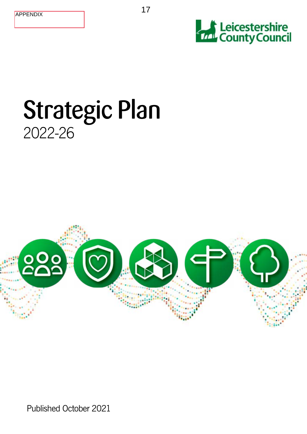



# Strategic Plan 2022-26



Published October 2021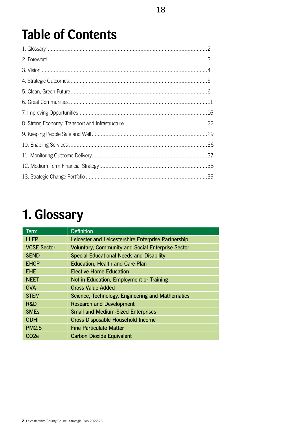# **Table of Contents**

# **1. Glossary**

| Term               | <b>Definition</b>                                        |
|--------------------|----------------------------------------------------------|
| <b>LLEP</b>        | Leicester and Leicestershire Enterprise Partnership      |
| <b>VCSE Sector</b> | <b>Voluntary, Community and Social Enterprise Sector</b> |
| <b>SEND</b>        | <b>Special Educational Needs and Disability</b>          |
| <b>EHCP</b>        | <b>Education, Health and Care Plan</b>                   |
| <b>EHE</b>         | <b>Elective Home Education</b>                           |
| <b>NEET</b>        | Not in Education, Employment or Training                 |
| <b>GVA</b>         | <b>Gross Value Added</b>                                 |
| <b>STEM</b>        | Science, Technology, Engineering and Mathematics         |
| R&D                | <b>Research and Development</b>                          |
| <b>SMEs</b>        | <b>Small and Medium-Sized Enterprises</b>                |
| <b>GDHI</b>        | <b>Gross Disposable Household Income</b>                 |
| <b>PM2.5</b>       | <b>Fine Particulate Matter</b>                           |
| CO <sub>2e</sub>   | <b>Carbon Dioxide Equivalent</b>                         |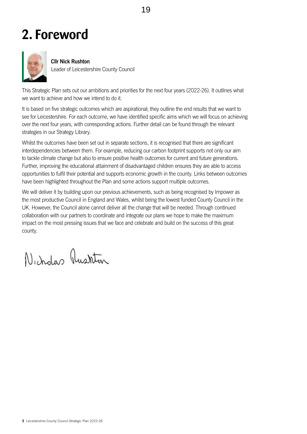## <span id="page-2-0"></span>**2. Foreword**



#### **Cllr Nick Rushton**

Leader of Leicestershire County Council

This Strategic Plan sets out our ambitions and priorities for the next four years (2022-26). It outlines what we want to achieve and how we intend to do it.

It is based on five strategic outcomes which are aspirational; they outline the end results that we want to see for Leicestershire. For each outcome, we have identified specific aims which we will focus on achieving over the next four years, with corresponding actions. Further detail can be found through the relevant strategies in our Strategy Library.

Whilst the outcomes have been set out in separate sections, it is recognised that there are significant interdependencies between them. For example, reducing our carbon footprint supports not only our aim to tackle climate change but also to ensure positive health outcomes for current and future generations. Further, improving the educational attainment of disadvantaged children ensures they are able to access opportunities to fulfil their potential and supports economic growth in the county. Links between outcomes have been highlighted throughout the Plan and some actions support multiple outcomes.

We will deliver it by building upon our previous achievements, such as being recognised by Impower as the most productive Council in England and Wales, whilst being the lowest funded County Council in the UK. However, the Council alone cannot deliver all the change that will be needed. Through continued collaboration with our partners to coordinate and integrate our plans we hope to make the maximum impact on the most pressing issues that we face and celebrate and build on the success of this great county.

Nicholas Austria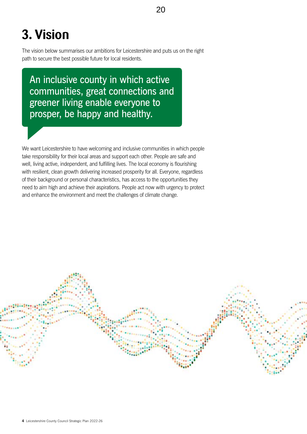# <span id="page-3-0"></span>**3. Vision**

The vision below summarises our ambitions for Leicestershire and puts us on the right path to secure the best possible future for local residents.

An inclusive county in which active communities, great connections and greener living enable everyone to prosper, be happy and healthy.

We want Leicestershire to have welcoming and inclusive communities in which people take responsibility for their local areas and support each other. People are safe and well, living active, independent, and fulfilling lives. The local economy is flourishing with resilient, clean growth delivering increased prosperity for all. Everyone, regardless of their background or personal characteristics, has access to the opportunities they need to aim high and achieve their aspirations. People act now with urgency to protect and enhance the environment and meet the challenges of climate change.

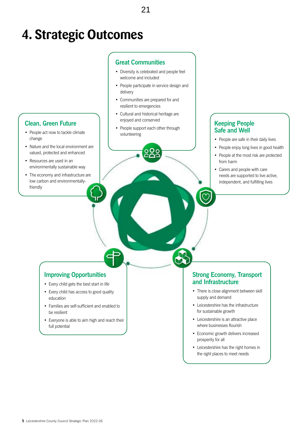## <span id="page-4-0"></span>**4. Strategic Outcomes**

## **Clean, Green Future**

- People act now to tackle climate change
- Nature and the local environment are valued, protected and enhanced
- Resources are used in an environmentally sustainable way
- The economy and infrastructure are low carbon and environmentallyfriendly

#### **Great Communities**

- Diversity is celebrated and people feel welcome and included
- People participate in service design and delivery
- Communities are prepared for and resilient to emergencies
- Cultural and historical heritage are enjoyed and conserved
- People support each other through volunteering

## **Keeping People Safe and Well**

- People are safe in their daily lives
- People enjoy long lives in good health
- People at the most risk are protected from harm
- Carers and people with care needs are supported to live active, independent, and fulfilling lives

#### **Improving Opportunities**

- Every child gets the best start in life
- Every child has access to good quality education
- Families are self-sufficient and enabled to be resilient
- Everyone is able to aim high and reach their full potential

#### **Strong Economy, Transport and Infrastructure**

- There is close alignment between skill supply and demand
- Leicestershire has the infrastructure for sustainable growth
- Leicestershire is an attractive place where businesses flourish
- Economic growth delivers increased prosperity for all
- Leicestershire has the right homes in the right places to meet needs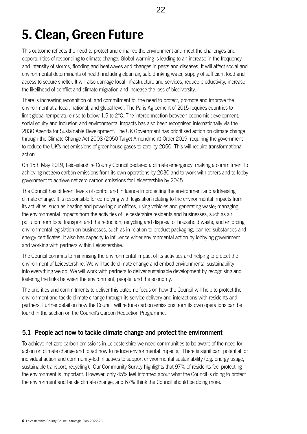<span id="page-5-0"></span>This outcome reflects the need to protect and enhance the environment and meet the challenges and opportunities of responding to climate change. Global warming is leading to an increase in the frequency and intensity of storms, flooding and heatwaves and changes in pests and diseases. It will affect social and environmental determinants of health including clean air, safe drinking water, supply of sufficient food and access to secure shelter. It will also damage local infrastructure and services, reduce productivity, increase the likelihood of conflict and climate migration and increase the loss of biodiversity.

There is increasing recognition of, and commitment to, the need to protect, promote and improve the environment at a local, national, and global level. The Paris Agreement of 2015 requires countries to limit global temperature rise to below 1.5 to 2°C. The interconnection between economic development, social equity and inclusion and environmental impacts has also been recognised internationally via the 2030 Agenda for Sustainable Development. The UK Government has prioritised action on climate change through the Climate Change Act 2008 (2050 Target Amendment) Order 2019, requiring the government to reduce the UK's net emissions of greenhouse gases to zero by 2050. This will require transformational action.

On 15th May 2019, Leicestershire County Council declared a climate emergency, making a commitment to achieving net zero carbon emissions from its own operations by 2030 and to work with others and to lobby government to achieve net zero carbon emissions for Leicestershire by 2045.

The Council has different levels of control and influence in protecting the environment and addressing climate change. It is responsible for complying with legislation relating to the environmental impacts from its activities, such as heating and powering our offices, using vehicles and generating waste; managing the environmental impacts from the activities of Leicestershire residents and businesses, such as air pollution from local transport and the reduction, recycling and disposal of household waste; and enforcing environmental legislation on businesses, such as in relation to product packaging, banned substances and energy certificates. It also has capacity to influence wider environmental action by lobbying government and working with partners within Leicestershire.

The Council commits to minimising the environmental impact of its activities and helping to protect the environment of Leicestershire. We will tackle climate change and embed environmental sustainability into everything we do. We will work with partners to deliver sustainable development by recognising and fostering the links between the environment, people, and the economy.

The priorities and commitments to deliver this outcome focus on how the Council will help to protect the environment and tackle climate change through its service delivery and interactions with residents and partners. Further detail on how the Council will reduce carbon emissions from its own operations can be found in the section on the Council's [Carbon Reduction Programme](file:///C:\Users\AEpps\AppData\Local\Microsoft\Windows\INetCache\Content.Outlook\20ND95GW\Appendix 1 - Draft Strategic Plan 2022-26.docx#_Carbon_Reduction_Programme).

## **5.1 People act now to tackle climate change and protect the environment**

To achieve net zero carbon emissions in Leicestershire we need communities to be aware of the need for action on climate change and to act now to reduce environmental impacts. There is significant potential for individual action and community-led initiatives to support environmental sustainability (e.g. energy usage, sustainable transport, recycling). Our Community Survey highlights that 97% of residents feel protecting the environment is important. However, only 45% feel informed about what the Council is doing to protect the environment and tackle climate change, and 67% think the Council should be doing more.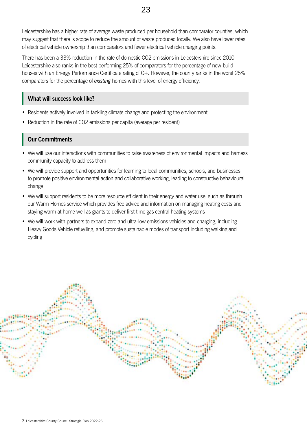Leicestershire has a higher rate of average waste produced per household than comparator counties, which may suggest that there is scope to reduce the amount of waste produced locally. We also have lower rates of electrical vehicle ownership than comparators and fewer electrical vehicle charging points.

There has been a 33% reduction in the rate of domestic CO2 emissions in Leicestershire since 2010. Leicestershire also ranks in the best performing 25% of comparators for the percentage of new-build houses with an Energy Performance Certificate rating of C+. However, the county ranks in the worst 25% comparators for the percentage of *existing* homes with this level of energy efficiency.

#### **What will success look like?**

- Residents actively involved in tackling climate change and protecting the environment
- Reduction in the rate of CO2 emissions per capita (average per resident)

## **Our Commitments**

- We will use our interactions with communities to raise awareness of environmental impacts and harness community capacity to address them
- We will provide support and opportunities for learning to local communities, schools, and businesses to promote positive environmental action and collaborative working, leading to constructive behavioural change
- We will support residents to be more resource efficient in their energy and water use, such as through our Warm Homes service which provides free advice and information on managing heating costs and staying warm at home well as grants to deliver first-time gas central heating systems
- We will work with partners to expand zero and ultra-low emissions vehicles and charging, including Heavy Goods Vehicle refuelling, and promote sustainable modes of transport including walking and cycling

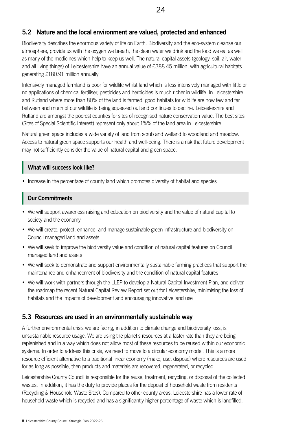## **5.2 Nature and the local environment are valued, protected and enhanced**

Biodiversity describes the enormous variety of life on Earth. Biodiversity and the eco-system cleanse our atmosphere, provide us with the oxygen we breath, the clean water we drink and the food we eat as well as many of the medicines which help to keep us well. The natural capital assets (geology, soil, air, water and all living things) of Leicestershire have an annual value of £388.45 million, with agricultural habitats generating £180.91 million annually.

Intensively managed farmland is poor for wildlife whilst land which is less intensively managed with little or no applications of chemical fertiliser, pesticides and herbicides is much richer in wildlife. In Leicestershire and Rutland where more than 80% of the land is farmed, good habitats for wildlife are now few and far between and much of our wildlife is being squeezed out and continues to decline. Leicestershire and Rutland are amongst the poorest counties for sites of recognised nature conservation value. The best sites (Sites of Special Scientific Interest) represent only about 1%% of the land area in Leicestershire.

Natural green space includes a wide variety of land from scrub and wetland to woodland and meadow. Access to natural green space supports our health and well-being. There is a risk that future development may not sufficiently consider the value of natural capital and green space.

#### **What will success look like?**

• Increase in the percentage of county land which promotes diversity of habitat and species

## **Our Commitments**

- We will support awareness raising and education on biodiversity and the value of natural capital to society and the economy
- We will create, protect, enhance, and manage sustainable green infrastructure and biodiversity on Council managed land and assets
- We will seek to improve the biodiversity value and condition of natural capital features on Council managed land and assets
- We will seek to demonstrate and support environmentally sustainable farming practices that support the maintenance and enhancement of biodiversity and the condition of natural capital features
- We will work with partners through the LLEP to develop a Natural Capital Investment Plan, and deliver the roadmap the recent Natural Capital Review Report set out for Leicestershire, minimising the loss of habitats and the impacts of development and encouraging innovative land use

## **5.3 Resources are used in an environmentally sustainable way**

A further environmental crisis we are facing, in addition to climate change and biodiversity loss, is unsustainable resource usage. We are using the planet's resources at a faster rate than they are being replenished and in a way which does not allow most of these resources to be reused within our economic systems. In order to address this crisis, we need to move to a circular economy model. This is a more resource efficient alternative to a traditional linear economy (make, use, dispose) where resources are used for as long as possible, then products and materials are recovered, regenerated, or recycled.

Leicestershire County Council is responsible for the reuse, treatment, recycling, or disposal of the collected wastes. In addition, it has the duty to provide places for the deposit of household waste from residents (Recycling & Household Waste Sites). Compared to other county areas, Leicestershire has a lower rate of household waste which is recycled and has a significantly higher percentage of waste which is landfilled.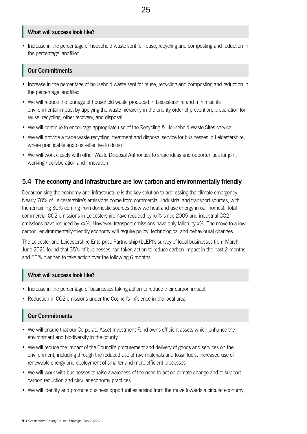#### **What will success look like?**

• Increase in the percentage of household waste sent for reuse, recycling and composting and reduction in the percentage landfilled

## **Our Commitments**

- Increase in the percentage of household waste sent for reuse, recycling and composting and reduction in the percentage landfilled
- We will reduce the tonnage of household waste produced in Leicestershire and minimise its environmental impact by applying the waste hierarchy in the priority order of prevention, preparation for reuse, recycling, other recovery, and disposal
- We will continue to encourage appropriate use of the Recycling & Household Waste Sites service
- We will provide a trade waste recycling, treatment and disposal service for businesses in Leicestershire, where practicable and cost-effective to do so
- We will work closely with other Waste Disposal Authorities to share ideas and opportunities for joint working / collaboration and innovation

## **5.4 The economy and infrastructure are low carbon and environmentally friendly**

Decarbonising the economy and infrastructure is the key solution to addressing the climate emergency. Nearly 70% of Leicestershire's emissions come from commercial, industrial and transport sources, with the remaining 30% coming from domestic sources (how we heat and use energy in our homes). Total commercial CO2 emissions in Leicestershire have reduced by xx% since 2005 and industrial CO2 emissions have reduced by xx%. However, transport emissions have only fallen by x%. The move to a low carbon, environmentally-friendly economy will require policy, technological and behavioural changes.

The Leicester and Leicestershire Enterprise Partnership (LLEP)'s survey of local businesses from March-June 2021 found that 35% of businesses had taken action to reduce carbon impact in the past 2 months and 50% planned to take action over the following 6 months.

## **What will success look like?**

- Increase in the percentage of businesses taking action to reduce their carbon impact
- Reduction in CO2 emissions under the Council's influence in the local area

## **Our Commitments**

- We will ensure that our Corporate Asset Investment Fund owns efficient assets which enhance the environment and biodiversity in the county
- We will reduce the impact of the Council's procurement and delivery of goods and services on the environment, including through the reduced use of raw materials and fossil fuels, increased use of renewable energy and deployment of smarter and more efficient processes
- We will work with businesses to raise awareness of the need to act on climate change and to support carbon reduction and circular economy practices
- We will identify and promote business opportunities arising from the move towards a circular economy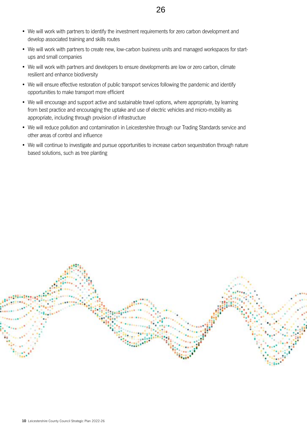- We will work with partners to identify the investment requirements for zero carbon development and develop associated training and skills routes
- We will work with partners to create new, low-carbon business units and managed workspaces for startups and small companies
- We will work with partners and developers to ensure developments are low or zero carbon, climate resilient and enhance biodiversity
- We will ensure effective restoration of public transport services following the pandemic and identify opportunities to make transport more efficient
- We will encourage and support active and sustainable travel options, where appropriate, by learning from best practice and encouraging the uptake and use of electric vehicles and micro-mobility as appropriate, including through provision of infrastructure
- We will reduce pollution and contamination in Leicestershire through our Trading Standards service and other areas of control and influence
- We will continue to investigate and pursue opportunities to increase carbon sequestration through nature based solutions, such as tree planting

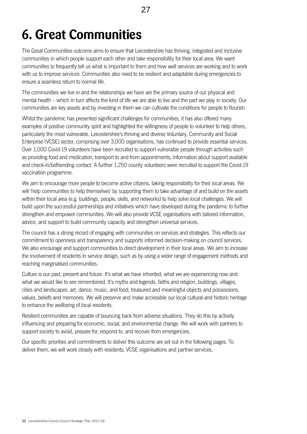# <span id="page-10-0"></span>**6. Great Communities**

The Great Communities outcome aims to ensure that Leicestershire has thriving, integrated and inclusive communities in which people support each other and take responsibility for their local area. We want communities to frequently tell us what is important to them and how well services are working and to work with us to improve services. Communities also need to be resilient and adaptable during emergencies to ensure a seamless return to normal life.

The communities we live in and the relationships we have are the primary source of our physical and mental health – which in turn affects the kind of life we are able to live and the part we play in society. Our communities are key assets and by investing in them we can cultivate the conditions for people to flourish.

Whilst the pandemic has presented significant challenges for communities, it has also offered many examples of positive community spirit and highlighted the willingness of people to volunteer to help others, particularly the most vulnerable. Leicestershire's thriving and diverse Voluntary, Community and Social Enterprise (VCSE) sector, comprising over 3,000 organisations, has continued to provide essential services. Over 1,000 Covid-19 volunteers have been recruited to support vulnerable people through activities such as providing food and medication, transport to and from appointments, information about support available and check-in/befriending contact. A further 1,250 county volunteers were recruited to support the Covid-19 vaccination programme.

We aim to encourage more people to become active citizens, taking responsibility for their local areas. We will 'help communities to help themselves' by supporting them to take advantage of and build on the assets within their local area (e.g. buildings, people, skills, and networks) to help solve local challenges. We will build upon the successful partnerships and initiatives which have developed during the pandemic to further strengthen and empower communities. We will also provide VCSE organisations with tailored information, advice, and support to build community capacity and strengthen universal services.

The council has a strong record of engaging with communities on services and strategies. This reflects our commitment to openness and transparency and supports informed decision-making on council services. We also encourage and support communities to direct development in their local areas. We aim to increase the involvement of residents in service design, such as by using a wider range of engagement methods and reaching marginalised communities.

Culture is our past, present and future. It's what we have inherited, what we are experiencing now and what we would like to see remembered. It's myths and legends, faiths and religion, buildings, villages, cities and landscapes, art, dance, music, and food, treasured and meaningful objects and possessions, values, beliefs and memories. We will preserve and make accessible our local cultural and historic heritage to enhance the wellbeing of local residents.

Resilient communities are capable of bouncing back from adverse situations. They do this by actively influencing and preparing for economic, social, and environmental change. We will work with partners to support society to avoid, prepare for, respond to, and recover from emergencies.

Our specific priorities and commitments to deliver this outcome are set out in the following pages. To deliver them, we will work closely with residents, VCSE organisations and partner services.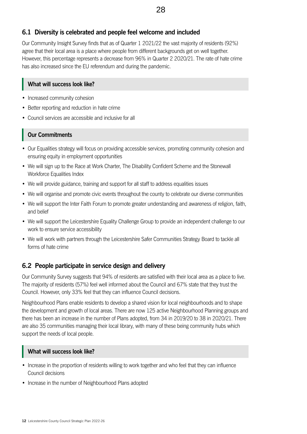## **6.1 Diversity is celebrated and people feel welcome and included**

Our Community Insight Survey finds that as of Quarter 1 2021/22 the vast majority of residents (92%) agree that their local area is a place where people from different backgrounds get on well together. However, this percentage represents a decrease from 96% in Quarter 2 2020/21. The rate of hate crime has also increased since the EU referendum and during the pandemic.

#### **What will success look like?**

- Increased community cohesion
- Better reporting and reduction in hate crime
- Council services are accessible and inclusive for all

## **Our Commitments**

- Our Equalities strategy will focus on providing accessible services, promoting community cohesion and ensuring equity in employment opportunities
- We will sign up to the Race at Work Charter, The Disability Confident Scheme and the Stonewall Workforce Equalities Index
- We will provide guidance, training and support for all staff to address equalities issues
- We will organise and promote civic events throughout the county to celebrate our diverse communities
- We will support the Inter Faith Forum to promote greater understanding and awareness of religion, faith, and belief
- We will support the Leicestershire Equality Challenge Group to provide an independent challenge to our work to ensure service accessibility
- We will work with partners through the Leicestershire Safer Communities Strategy Board to tackle all forms of hate crime

## **6.2 People participate in service design and delivery**

Our Community Survey suggests that 94% of residents are satisfied with their local area as a place to live. The majority of residents (57%) feel well informed about the Council and 67% state that they trust the Council. However, only 33% feel that they can influence Council decisions.

Neighbourhood Plans enable residents to develop a shared vision for local neighbourhoods and to shape the development and growth of local areas. There are now 125 active Neighbourhood Planning groups and there has been an increase in the number of Plans adopted, from 34 in 2019/20 to 38 in 2020/21. There are also 35 communities managing their local library, with many of these being community hubs which support the needs of local people.

#### **What will success look like?**

- Increase in the proportion of residents willing to work together and who feel that they can influence Council decisions
- Increase in the number of Neighbourhood Plans adopted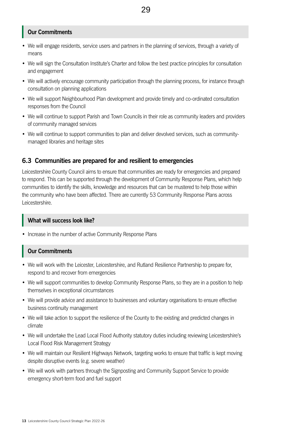## **Our Commitments**

- We will engage residents, service users and partners in the planning of services, through a variety of means
- We will sign the Consultation Institute's Charter and follow the best practice principles for consultation and engagement
- We will actively encourage community participation through the planning process, for instance through consultation on planning applications
- We will support Neighbourhood Plan development and provide timely and co-ordinated consultation responses from the Council
- We will continue to support Parish and Town Councils in their role as community leaders and providers of community managed services
- We will continue to support communities to plan and deliver devolved services, such as communitymanaged libraries and heritage sites

## **6.3 Communities are prepared for and resilient to emergencies**

Leicestershire County Council aims to ensure that communities are ready for emergencies and prepared to respond. This can be supported through the development of Community Response Plans, which help communities to identify the skills, knowledge and resources that can be mustered to help those within the community who have been affected. There are currently 53 Community Response Plans across Leicestershire.

#### **What will success look like?**

• Increase in the number of active Community Response Plans

#### **Our Commitments**

- We will work with the Leicester, Leicestershire, and Rutland Resilience Partnership to prepare for, respond to and recover from emergencies
- We will support communities to develop Community Response Plans, so they are in a position to help themselves in exceptional circumstances
- We will provide advice and assistance to businesses and voluntary organisations to ensure effective business continuity management
- We will take action to support the resilience of the County to the existing and predicted changes in climate
- We will undertake the Lead Local Flood Authority statutory duties including reviewing Leicestershire's Local Flood Risk Management Strategy
- We will maintain our Resilient Highways Network, targeting works to ensure that traffic is kept moving despite disruptive events (e.g. severe weather)
- We will work with partners through the Signposting and Community Support Service to provide emergency short-term food and fuel support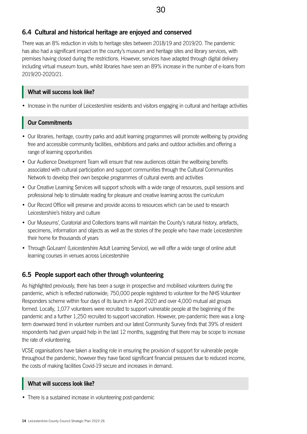## **6.4 Cultural and historical heritage are enjoyed and conserved**

There was an 8% reduction in visits to heritage sites between 2018/19 and 2019/20. The pandemic has also had a significant impact on the county's museum and heritage sites and library services, with premises having closed during the restrictions. However, services have adapted through digital delivery including virtual museum tours, whilst libraries have seen an 89% increase in the number of e-loans from 2019/20-2020/21.

## **What will success look like?**

• Increase in the number of Leicestershire residents and visitors engaging in cultural and heritage activities

## **Our Commitments**

- Our libraries, heritage, country parks and adult learning programmes will promote wellbeing by providing free and accessible community facilities, exhibitions and parks and outdoor activities and offering a range of learning opportunities
- Our Audience Development Team will ensure that new audiences obtain the wellbeing benefits associated with cultural participation and support communities through the Cultural Communities Network to develop their own bespoke programmes of cultural events and activities
- Our Creative Learning Services will support schools with a wide range of resources, pupil sessions and professional help to stimulate reading for pleasure and creative learning across the curriculum
- Our Record Office will preserve and provide access to resources which can be used to research Leicestershire's history and culture
- Our Museums', Curatorial and Collections teams will maintain the County's natural history, artefacts, specimens, information and objects as well as the stories of the people who have made Leicestershire their home for thousands of years
- Through GoLearn! (Leicestershire Adult Learning Service), we will offer a wide range of online adult learning courses in venues across Leicestershire

## **6.5 People support each other through volunteering**

As highlighted previously, there has been a surge in prospective and mobilised volunteers during the pandemic, which is reflected nationwide; 750,000 people registered to volunteer for the NHS Volunteer Responders scheme within four days of its launch in April 2020 and over 4,000 mutual aid groups formed. Locally, 1,077 volunteers were recruited to support vulnerable people at the beginning of the pandemic and a further 1,250 recruited to support vaccination. However, pre-pandemic there was a longterm downward trend in volunteer numbers and our latest Community Survey finds that 39% of resident respondents had given unpaid help in the last 12 months, suggesting that there may be scope to increase the rate of volunteering.

VCSE organisations have taken a leading role in ensuring the provision of support for vulnerable people throughout the pandemic, however they have faced significant financial pressures due to reduced income, the costs of making facilities Covid-19 secure and increases in demand.

## **What will success look like?**

• There is a sustained increase in volunteering post-pandemic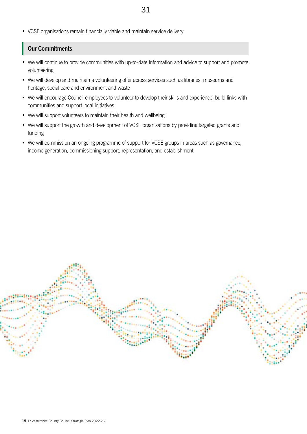• VCSE organisations remain financially viable and maintain service delivery

## **Our Commitments**

- We will continue to provide communities with up-to-date information and advice to support and promote volunteering
- We will develop and maintain a volunteering offer across services such as libraries, museums and heritage, social care and environment and waste
- We will encourage Council employees to volunteer to develop their skills and experience, build links with communities and support local initiatives
- We will support volunteers to maintain their health and wellbeing
- We will support the growth and development of VCSE organisations by providing targeted grants and funding
- We will commission an ongoing programme of support for VCSE groups in areas such as governance, income generation, commissioning support, representation, and establishment

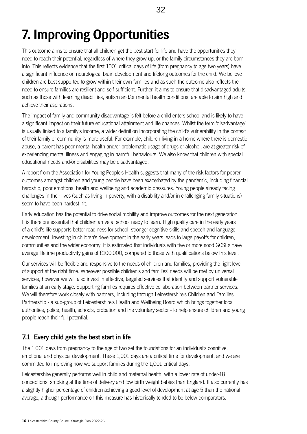# <span id="page-15-0"></span>**7. Improving Opportunities**

This outcome aims to ensure that all children get the best start for life and have the opportunities they need to reach their potential, regardless of where they grow up, or the family circumstances they are born into. This reflects evidence that the first 1001 critical days of life (from pregnancy to age two years) have a significant influence on neurological brain development and lifelong outcomes for the child. We believe children are best supported to grow within their own families and as such the outcome also reflects the need to ensure families are resilient and self-sufficient. Further, it aims to ensure that disadvantaged adults, such as those with learning disabilities, autism and/or mental health conditions, are able to aim high and achieve their aspirations.

The impact of family and community disadvantage is felt before a child enters school and is likely to have a significant impact on their future educational attainment and life chances. Whilst the term 'disadvantage' is usually linked to a family's income, a wider definition incorporating the child's vulnerability in the context of their family or community is more useful. For example, children living in a home where there is domestic abuse, a parent has poor mental health and/or problematic usage of drugs or alcohol, are at greater risk of experiencing mental illness and engaging in harmful behaviours. We also know that children with special educational needs and/or disabilities may be disadvantaged.

A report from the Association for Young People's Health suggests that many of the risk factors for poorer outcomes amongst children and young people have been exacerbated by the pandemic, including financial hardship, poor emotional health and wellbeing and academic pressures. Young people already facing challenges in their lives (such as living in poverty, with a disability and/or in challenging family situations) seem to have been hardest hit.

Early education has the potential to drive social mobility and improve outcomes for the next generation. It is therefore essential that children arrive at school ready to learn. High quality care in the early years of a child's life supports better readiness for school, stronger cognitive skills and speech and language development. Investing in children's development in the early years leads to large payoffs for children, communities and the wider economy. It is estimated that individuals with five or more good GCSEs have average lifetime productivity gains of £100,000, compared to those with qualifications below this level.

Our services will be flexible and responsive to the needs of children and families, providing the right level of support at the right time. Wherever possible children's and families' needs will be met by universal services, however we will also invest in effective, targeted services that identify and support vulnerable families at an early stage. Supporting families requires effective collaboration between partner services. We will therefore work closely with partners, including through Leicestershire's Children and Families Partnership - a sub-group of Leicestershire's Health and Wellbeing Board which brings together local authorities, police, health, schools, probation and the voluntary sector - to help ensure children and young people reach their full potential.

## **7.1 Every child gets the best start in life**

The 1,001 days from pregnancy to the age of two set the foundations for an individual's cognitive, emotional and physical development. These 1,001 days are a critical time for development, and we are committed to improving how we support families during the 1,001 critical days.

Leicestershire generally performs well in child and maternal health, with a lower rate of under-18 conceptions, smoking at the time of delivery and low birth weight babies than England. It also currently has a slightly higher percentage of children achieving a good level of development at age 5 than the national average, although performance on this measure has historically tended to be below comparators.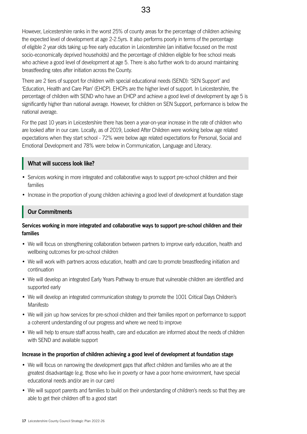However, Leicestershire ranks in the worst 25% of county areas for the percentage of children achieving the expected level of development at age 2-2.5yrs. It also performs poorly in terms of the percentage of eligible 2 year olds taking up free early education in Leicestershire (an initiative focused on the most socio-economically deprived households) and the percentage of children eligible for free school meals who achieve a good level of development at age 5. There is also further work to do around maintaining breastfeeding rates after initiation across the County.

There are 2 tiers of support for children with special educational needs (SEND): 'SEN Support' and 'Education, Health and Care Plan' (EHCP). EHCPs are the higher level of support. In Leicestershire, the percentage of children with SEND who have an EHCP and achieve a good level of development by age 5 is significantly higher than national average. However, for children on SEN Support, performance is below the national average.

For the past 10 years in Leicestershire there has been a year-on-year increase in the rate of children who are looked after in our care. Locally, as of 2019, Looked After Children were working below age related expectations when they start school - 72% were below age related expectations for Personal, Social and Emotional Development and 78% were below in Communication, Language and Literacy.

#### **What will success look like?**

- Services working in more integrated and collaborative ways to support pre-school children and their families
- Increase in the proportion of young children achieving a good level of development at foundation stage

## **Our Commitments**

#### **Services working in more integrated and collaborative ways to support pre-school children and their families**

- We will focus on strengthening collaboration between partners to improve early education, health and wellbeing outcomes for pre-school children
- We will work with partners across education, health and care to promote breastfeeding initiation and continuation
- We will develop an integrated Early Years Pathway to ensure that vulnerable children are identified and supported early
- We will develop an integrated communication strategy to promote the 1001 Critical Days Children's Manifesto
- We will join up how services for pre-school children and their families report on performance to support a coherent understanding of our progress and where we need to improve
- We will help to ensure staff across health, care and education are informed about the needs of children with SEND and available support

#### **Increase in the proportion of children achieving a good level of development at foundation stage**

- We will focus on narrowing the development gaps that affect children and families who are at the greatest disadvantage (e.g. those who live in poverty or have a poor home environment, have special educational needs and/or are in our care)
- We will support parents and families to build on their understanding of children's needs so that they are able to get their children off to a good start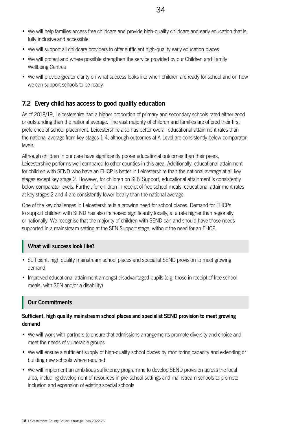- We will help families access free childcare and provide high-quality childcare and early education that is fully inclusive and accessible
- We will support all childcare providers to offer sufficient high-quality early education places
- We will protect and where possible strengthen the service provided by our Children and Family Wellbeing Centres
- We will provide greater clarity on what success looks like when children are ready for school and on how we can support schools to be ready

## **7.2 Every child has access to good quality education**

As of 2018/19, Leicestershire had a higher proportion of primary and secondary schools rated either good or outstanding than the national average. The vast majority of children and families are offered their first preference of school placement. Leicestershire also has better overall educational attainment rates than the national average from key stages 1-4, although outcomes at A-Level are consistently below comparator levels.

Although children in our care have significantly poorer educational outcomes than their peers, Leicestershire performs well compared to other counties in this area. Additionally, educational attainment for children with SEND who have an EHCP is better in Leicestershire than the national average at all key stages except key stage 2. However, for children on SEN Support, educational attainment is consistently below comparator levels. Further, for children in receipt of free school meals, educational attainment rates at key stages 2 and 4 are consistently lower locally than the national average.

One of the key challenges in Leicestershire is a growing need for school places. Demand for EHCPs to support children with SEND has also increased significantly locally, at a rate higher than regionally or nationally. We recognise that the majority of children with SEND can and should have those needs supported in a mainstream setting at the SEN Support stage, without the need for an EHCP.

#### **What will success look like?**

- Sufficient, high quality mainstream school places and specialist SEND provision to meet growing demand
- Improved educational attainment amongst disadvantaged pupils (e.g. those in receipt of free school meals, with SEN and/or a disability)

## **Our Commitments**

#### **Sufficient, high quality mainstream school places and specialist SEND provision to meet growing demand**

- We will work with partners to ensure that admissions arrangements promote diversity and choice and meet the needs of vulnerable groups
- We will ensure a sufficient supply of high-quality school places by monitoring capacity and extending or building new schools where required
- We will implement an ambitious sufficiency programme to develop SEND provision across the local area, including development of resources in pre-school settings and mainstream schools to promote inclusion and expansion of existing special schools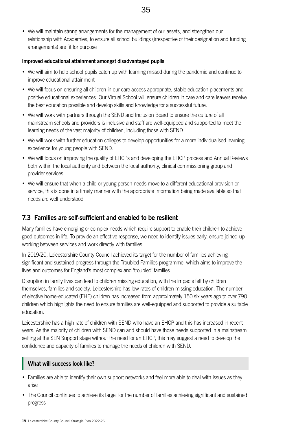• We will maintain strong arrangements for the management of our assets, and strengthen our relationship with Academies, to ensure all school buildings (irrespective of their designation and funding arrangements) are fit for purpose

#### **Improved educational attainment amongst disadvantaged pupils**

- We will aim to help school pupils catch up with learning missed during the pandemic and continue to improve educational attainment
- We will focus on ensuring all children in our care access appropriate, stable education placements and positive educational experiences. Our Virtual School will ensure children in care and care leavers receive the best education possible and develop skills and knowledge for a successful future.
- We will work with partners through the SEND and Inclusion Board to ensure the culture of all mainstream schools and providers is inclusive and staff are well-equipped and supported to meet the learning needs of the vast majority of children, including those with SEND.
- We will work with further education colleges to develop opportunities for a more individualised learning experience for young people with SEND.
- We will focus on improving the quality of EHCPs and developing the EHCP process and Annual Reviews both within the local authority and between the local authority, clinical commissioning group and provider services
- We will ensure that when a child or young person needs move to a different educational provision or service, this is done in a timely manner with the appropriate information being made available so that needs are well understood

## **7.3 Families are self-sufficient and enabled to be resilient**

Many families have emerging or complex needs which require support to enable their children to achieve good outcomes in life. To provide an effective response, we need to identify issues early, ensure joined-up working between services and work directly with families.

In 2019/20, Leicestershire County Council achieved its target for the number of families achieving significant and sustained progress through the Troubled Families programme, which aims to improve the lives and outcomes for England's most complex and 'troubled' families.

Disruption in family lives can lead to children missing education, with the impacts felt by children themselves, families and society. Leicestershire has low rates of children missing education. The number of elective home-educated (EHE) children has increased from approximately 150 six years ago to over 790 children which highlights the need to ensure families are well-equipped and supported to provide a suitable education.

Leicestershire has a high rate of children with SEND who have an EHCP and this has increased in recent years. As the majority of children with SEND can and should have those needs supported in a mainstream setting at the SEN Support stage without the need for an EHCP, this may suggest a need to develop the confidence and capacity of families to manage the needs of children with SEND.

#### **What will success look like?**

- Families are able to identify their own support networks and feel more able to deal with issues as they arise
- The Council continues to achieve its target for the number of families achieving significant and sustained progress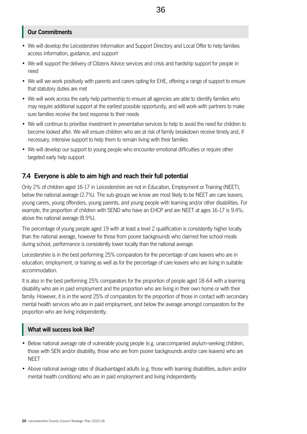## **Our Commitments**

- We will develop the Leicestershire Information and Support Directory and Local Offer to help families access information, guidance, and support
- We will support the delivery of Citizens Advice services and crisis and hardship support for people in need
- We will we work positively with parents and carers opting for EHE, offering a range of support to ensure that statutory duties are met
- We will work across the early help partnership to ensure all agencies are able to identify families who may require additional support at the earliest possible opportunity, and will work with partners to make sure families receive the best response to their needs
- We will continue to prioritise investment in preventative services to help to avoid the need for children to become looked after. We will ensure children who are at risk of family breakdown receive timely and, if necessary, intensive support to help them to remain living with their families
- We will develop our support to young people who encounter emotional difficulties or require other targeted early help support

## **7.4 Everyone is able to aim high and reach their full potential**

Only 2% of children aged 16-17 in Leicestershire are not in Education, Employment or Training (NEET), below the national average (2.7%). The sub-groups we know are most likely to be NEET are care leavers, young carers, young offenders, young parents, and young people with learning and/or other disabilities. For example, the proportion of children with SEND who have an EHCP and are NEET at ages 16-17 is 9.4%; above the national average (8.9%).

The percentage of young people aged 19 with at least a level 2 qualification is consistently higher locally than the national average, however for those from poorer backgrounds who claimed free school meals during school, performance is consistently lower locally than the national average.

Leicestershire is in the best performing 25% comparators for the percentage of care leavers who are in education, employment, or training as well as for the percentage of care leavers who are living in suitable accommodation.

It is also in the best performing 25% comparators for the proportion of people aged 18-64 with a learning disability who are in paid employment and the proportion who are living in their own home or with their family. However, it is in the worst 25% of comparators for the proportion of those in contact with secondary mental health services who are in paid employment, and below the average amongst comparators for the proportion who are living independently.

#### **What will success look like?**

- Below national average rate of vulnerable young people (e.g. unaccompanied asylum-seeking children, those with SEN and/or disability, those who are from poorer backgrounds and/or care leavers) who are **NFFT**
- Above national average rates of disadvantaged adults (e.g. those with learning disabilities, autism and/or mental health conditions) who are in paid employment and living independently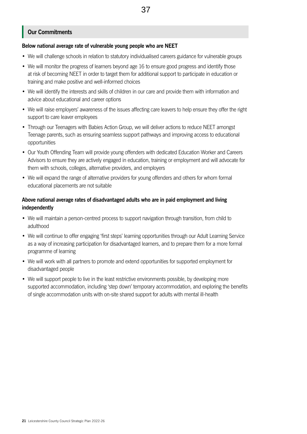## **Our Commitments**

#### **Below national average rate of vulnerable young people who are NEET**

- We will challenge schools in relation to statutory individualised careers guidance for vulnerable groups
- We will monitor the progress of learners beyond age 16 to ensure good progress and identify those at risk of becoming NEET in order to target them for additional support to participate in education or training and make positive and well-informed choices
- We will identify the interests and skills of children in our care and provide them with information and advice about educational and career options
- We will raise employers' awareness of the issues affecting care leavers to help ensure they offer the right support to care leaver employees
- Through our Teenagers with Babies Action Group, we will deliver actions to reduce NEET amongst Teenage parents, such as ensuring seamless support pathways and improving access to educational opportunities
- Our Youth Offending Team will provide young offenders with dedicated Education Worker and Careers Advisors to ensure they are actively engaged in education, training or employment and will advocate for them with schools, colleges, alternative providers, and employers
- We will expand the range of alternative providers for young offenders and others for whom formal educational placements are not suitable

#### **Above national average rates of disadvantaged adults who are in paid employment and living independently**

- We will maintain a person-centred process to support navigation through transition, from child to adulthood
- We will continue to offer engaging 'first steps' learning opportunities through our Adult Learning Service as a way of increasing participation for disadvantaged learners, and to prepare them for a more formal programme of learning
- We will work with all partners to promote and extend opportunities for supported employment for disadvantaged people
- We will support people to live in the least restrictive environments possible, by developing more supported accommodation, including 'step down' temporary accommodation, and exploring the benefits of single accommodation units with on-site shared support for adults with mental ill-health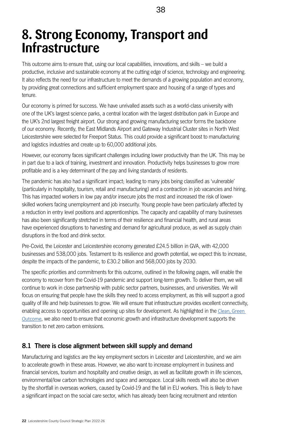## <span id="page-21-0"></span>**8. Strong Economy, Transport and Infrastructure**

This outcome aims to ensure that, using our local capabilities, innovations, and skills – we build a productive, inclusive and sustainable economy at the cutting edge of science, technology and engineering. It also reflects the need for our infrastructure to meet the demands of a growing population and economy, by providing great connections and sufficient employment space and housing of a range of types and tenure.

Our economy is primed for success. We have unrivalled assets such as a world-class university with one of the UK's largest science parks, a central location with the largest distribution park in Europe and the UK's 2nd largest freight airport. Our strong and growing manufacturing sector forms the backbone of our economy. Recently, the East Midlands Airport and Gateway Industrial Cluster sites in North West Leicestershire were selected for Freeport Status. This could provide a significant boost to manufacturing and logistics industries and create up to 60,000 additional jobs.

However, our economy faces significant challenges including lower productivity than the UK. This may be in part due to a lack of training, investment and innovation. Productivity helps businesses to grow more profitable and is a key determinant of the pay and living standards of residents.

The pandemic has also had a significant impact; leading to many jobs being classified as 'vulnerable' (particularly in hospitality, tourism, retail and manufacturing) and a contraction in job vacancies and hiring. This has impacted workers in low pay and/or insecure jobs the most and increased the risk of lowerskilled workers facing unemployment and job insecurity. Young people have been particularly affected by a reduction in entry level positions and apprenticeships. The capacity and capability of many businesses has also been significantly stretched in terms of their resilience and financial health, and rural areas have experienced disruptions to harvesting and demand for agricultural produce, as well as supply chain disruptions in the food and drink sector.

Pre-Covid, the Leicester and Leicestershire economy generated £24.5 billion in GVA, with 42,000 businesses and 538,000 jobs. Testament to its resilience and growth potential, we expect this to increase, despite the impacts of the pandemic, to £30.2 billion and 568,000 jobs by 2030.

The specific priorities and commitments for this outcome, outlined in the following pages, will enable the economy to recover from the Covid-19 pandemic and support long-term growth. To deliver them, we will continue to work in close partnership with public sector partners, businesses, and universities. We will focus on ensuring that people have the skills they need to access employment, as this will support a good quality of life and help businesses to grow. We will ensure that infrastructure provides excellent connectivity, enabling access to opportunities and opening up sites for development. As highlighted in the [Clean, Green](file:///C:\Users\AEpps\AppData\Local\Microsoft\Windows\INetCache\Content.Outlook\20ND95GW\Appendix 1 - Draft Strategic Plan 2022-26.docx#_The_economy_and_1)  [Outcome](file:///C:\Users\AEpps\AppData\Local\Microsoft\Windows\INetCache\Content.Outlook\20ND95GW\Appendix 1 - Draft Strategic Plan 2022-26.docx#_The_economy_and_1), we also need to ensure that economic growth and infrastructure development supports the transition to net zero carbon emissions.

## **8.1 There is close alignment between skill supply and demand**

Manufacturing and logistics are the key employment sectors in Leicester and Leicestershire, and we aim to accelerate growth in these areas. However, we also want to increase employment in business and financial services, tourism and hospitality and creative design, as well as facilitate growth in life sciences, environmental/low carbon technologies and space and aerospace. Local skills needs will also be driven by the shortfall in overseas workers, caused by Covid-19 and the fall in EU workers. This is likely to have a significant impact on the social care sector, which has already been facing recruitment and retention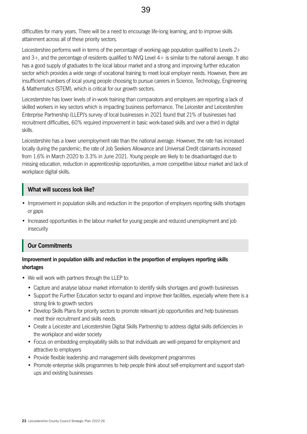difficulties for many years. There will be a need to encourage life-long learning, and to improve skills attainment across all of these priority sectors.

Leicestershire performs well in terms of the percentage of working-age population qualified to Levels 2+ and 3+, and the percentage of residents qualified to NVQ Level 4+ is similar to the national average. It also has a good supply of graduates to the local labour market and a strong and improving further education sector which provides a wide range of vocational training to meet local employer needs. However, there are insufficient numbers of local young people choosing to pursue careers in Science, Technology, Engineering & Mathematics (STEM), which is critical for our growth sectors.

Leicestershire has lower levels of in-work training than comparators and employers are reporting a lack of skilled workers in key sectors which is impacting business performance. The Leicester and Leicestershire Enterprise Partnership (LLEP)'s survey of local businesses in 2021 found that 21% of businesses had recruitment difficulties, 60% required improvement in basic work-based skills and over a third in digital skills.

Leicestershire has a lower unemployment rate than the national average. However, the rate has increased locally during the pandemic; the rate of Job Seekers Allowance and Universal Credit claimants increased from 1.6% in March 2020 to 3.3% in June 2021. Young people are likely to be disadvantaged due to missing education, reduction in apprenticeship opportunities, a more competitive labour market and lack of workplace digital skills.

#### **What will success look like?**

- Improvement in population skills and reduction in the proportion of employers reporting skills shortages or gaps
- Increased opportunities in the labour market for young people and reduced unemployment and job insecurity

#### **Our Commitments**

#### **Improvement in population skills and reduction in the proportion of employers reporting skills shortages**

- We will work with partners through the LLEP to:
	- Capture and analyse labour market information to identify skills shortages and growth businesses
	- Support the Further Education sector to expand and improve their facilities, especially where there is a strong link to growth sectors
	- Develop Skills Plans for priority sectors to promote relevant job opportunities and help businesses meet their recruitment and skills needs
	- Create a Leicester and Leicestershire Digital Skills Partnership to address digital skills deficiencies in the workplace and wider society
	- Focus on embedding employability skills so that individuals are well-prepared for employment and attractive to employers
	- Provide flexible leadership and management skills development programmes
	- Promote enterprise skills programmes to help people think about self-employment and support startups and existing businesses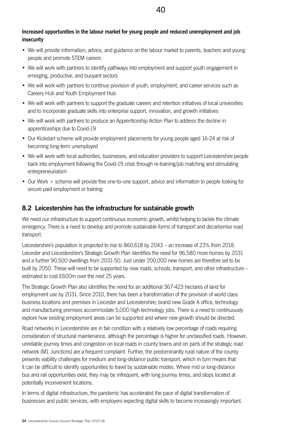## **Increased opportunities in the labour market for young people and reduced unemployment and job insecurity**

- We will provide information, advice, and guidance on the labour market to parents, teachers and young people and promote STEM careers
- We will work with partners to identify pathways into employment and support youth engagement in emerging, productive, and buoyant sectors
- We will work with partners to continue provision of youth, employment, and career services such as Careers Hub and Youth Employment Hub
- We will work with partners to support the graduate careers and retention initiatives of local universities and to incorporate graduate skills into enterprise support, innovation, and growth initiatives
- We will work with partners to produce an Apprenticeship Action Plan to address the decline in apprenticeships due to Covid-19
- Our Kickstart scheme will provide employment placements for young people aged 16-24 at risk of becoming long-term unemployed
- We will work with local authorities, businesses, and education providers to support Leicestershire people back into employment following the Covid-19 crisis through re-training/job matching and stimulating entrepreneurialism
- Our Work + scheme will provide free one-to-one support, advice and information to people looking for secure paid employment or training

## **8.2 Leicestershire has the infrastructure for sustainable growth**

We need our infrastructure to support continuous economic growth, whilst helping to tackle the climate emergency. There is a need to develop and promote sustainable forms of transport and decarbonise road transport.

Leicestershire's population is projected to rise to 860,618 by 2043 – an increase of 23% from 2018. Leicester and Leicestershire's Strategic Growth Plan identifies the need for 96,580 more homes by 2031 and a further 90,500 dwellings from 2031-50. Just under 200,000 new homes are therefore set to be built by 2050. These will need to be supported by new roads, schools, transport, and other infrastructure – estimated to cost £600m over the next 25 years.

The Strategic Growth Plan also identifies the need for an additional 367-423 hectares of land for employment use by 2031. Since 2010, there has been a transformation of the provision of world class business locations and premises in Leicester and Leicestershire; brand new Grade A office, technology and manufacturing premises accommodate 5,000 high-technology jobs. There is a need to continuously explore how existing employment areas can be supported and where new growth should be directed.

Road networks in Leicestershire are in fair condition with a relatively low percentage of roads requiring consideration of structural maintenance, although the percentage is higher for unclassified roads. However, unreliable journey times and congestion on local roads in county towns and on parts of the strategic road network (M1 Junctions) are a frequent complaint. Further, the predominantly rural nature of the county presents viability challenges for medium and long-distance public transport, which in turn means that it can be difficult to identify opportunities to travel by sustainable modes. Where mid or long-distance bus and rail opportunities exist, they may be infrequent, with long journey times, and stops located at potentially inconvenient locations.

In terms of digital infrastructure, the pandemic has accelerated the pace of digital transformation of businesses and public services, with employers expecting digital skills to become increasingly important.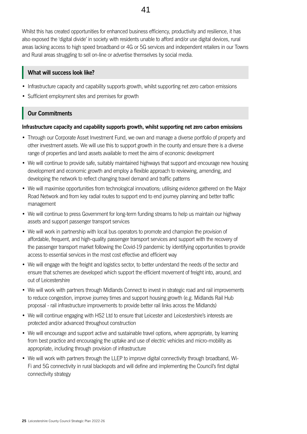**25** Leicestershire County Council Strategic Plan 2022-26

Whilst this has created opportunities for enhanced business efficiency, productivity and resilience, it has also exposed the 'digital divide' in society with residents unable to afford and/or use digital devices, rural areas lacking access to high speed broadband or 4G or 5G services and independent retailers in our Towns and Rural areas struggling to sell on-line or advertise themselves by social media.

#### **What will success look like?**

- Infrastructure capacity and capability supports growth, whilst supporting net zero carbon emissions
- Sufficient employment sites and premises for growth

## **Our Commitments**

#### **Infrastructure capacity and capability supports growth, whilst supporting net zero carbon emissions**

- Through our Corporate Asset Investment Fund, we own and manage a diverse portfolio of property and other investment assets. We will use this to support growth in the county and ensure there is a diverse range of properties and land assets available to meet the aims of economic development
- We will continue to provide safe, suitably maintained highways that support and encourage new housing development and economic growth and employ a flexible approach to reviewing, amending, and developing the network to reflect changing travel demand and traffic patterns
- We will maximise opportunities from technological innovations; utilising evidence gathered on the Major Road Network and from key radial routes to support end to end journey planning and better traffic management
- We will continue to press Government for long-term funding streams to help us maintain our highway assets and support passenger transport services
- We will work in partnership with local bus operators to promote and champion the provision of affordable, frequent, and high-quality passenger transport services and support with the recovery of the passenger transport market following the Covid-19 pandemic by identifying opportunities to provide access to essential services in the most cost effective and efficient way
- We will engage with the freight and logistics sector, to better understand the needs of the sector and ensure that schemes are developed which support the efficient movement of freight into, around, and out of Leicestershire
- We will work with partners through Midlands Connect to invest in strategic road and rail improvements to reduce congestion, improve journey times and support housing growth (e.g. Midlands Rail Hub proposal - rail infrastructure improvements to provide better rail links across the Midlands)
- We will continue engaging with HS2 Ltd to ensure that Leicester and Leicestershire's interests are protected and/or advanced throughout construction
- We will encourage and support active and sustainable travel options, where appropriate, by learning from best practice and encouraging the uptake and use of electric vehicles and micro-mobility as appropriate, including through provision of infrastructure
- We will work with partners through the LLEP to improve digital connectivity through broadband, Wi-Fi and 5G connectivity in rural blackspots and will define and implementing the Council's first digital connectivity strategy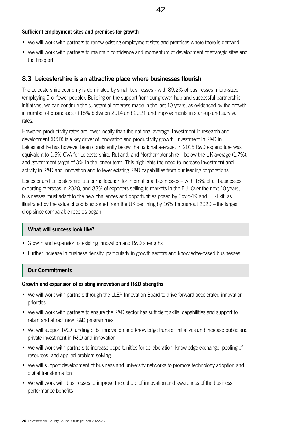#### **Sufficient employment sites and premises for growth**

- We will work with partners to renew existing employment sites and premises where there is demand
- We will work with partners to maintain confidence and momentum of development of strategic sites and the Freeport

#### **8.3 Leicestershire is an attractive place where businesses flourish**

The Leicestershire economy is dominated by small businesses - with 89.2% of businesses micro-sized (employing 9 or fewer people). Building on the support from our growth hub and successful partnership initiatives, we can continue the substantial progress made in the last 10 years, as evidenced by the growth in number of businesses (+18% between 2014 and 2019) and improvements in start-up and survival rates.

However, productivity rates are lower locally than the national average. Investment in research and development (R&D) is a key driver of innovation and productivity growth. Investment in R&D in Leicestershire has however been consistently below the national average; In 2016 R&D expenditure was equivalent to 1.5% GVA for Leicestershire, Rutland, and Northamptonshire – below the UK average (1.7%), and government target of 3% in the longer-term. This highlights the need to increase investment and activity in R&D and innovation and to lever existing R&D capabilities from our leading corporations.

Leicester and Leicestershire is a prime location for international businesses – with 18% of all businesses exporting overseas in 2020, and 83% of exporters selling to markets in the EU. Over the next 10 years, businesses must adapt to the new challenges and opportunities posed by Covid-19 and EU-Exit, as illustrated by the value of goods exported from the UK declining by 16% throughout 2020 – the largest drop since comparable records began.

#### **What will success look like?**

- Growth and expansion of existing innovation and R&D strengths
- Further increase in business density; particularly in growth sectors and knowledge-based businesses

#### **Our Commitments**

#### **Growth and expansion of existing innovation and R&D strengths**

- We will work with partners through the LLEP Innovation Board to drive forward accelerated innovation priorities
- We will work with partners to ensure the R&D sector has sufficient skills, capabilities and support to retain and attract new R&D programmes
- We will support R&D funding bids, innovation and knowledge transfer initiatives and increase public and private investment in R&D and innovation
- We will work with partners to increase opportunities for collaboration, knowledge exchange, pooling of resources, and applied problem solving
- We will support development of business and university networks to promote technology adoption and digital transformation
- We will work with businesses to improve the culture of innovation and awareness of the business performance benefits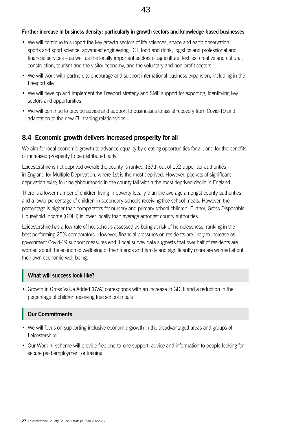#### **Further increase in business density; particularly in growth sectors and knowledge-based businesses**

- We will continue to support the key growth sectors of life sciences, space and earth observation, sports and sport science, advanced engineering, ICT, food and drink, logistics and professional and financial services – as well as the locally important sectors of agriculture, textiles, creative and cultural, construction, tourism and the visitor economy, and the voluntary and non-profit sectors
- We will work with partners to encourage and support international business expansion, including in the Freeport site
- We will develop and implement the Freeport strategy and SME support for exporting, identifying key sectors and opportunities
- We will continue to provide advice and support to businesses to assist recovery from Covid-19 and adaptation to the new EU trading relationships

#### **8.4 Economic growth delivers increased prosperity for all**

We aim for local economic growth to advance equality by creating opportunities for all, and for the benefits of increased prosperity to be distributed fairly.

Leicestershire is not deprived overall; the county is ranked 137th out of 152 upper tier authorities in England for Multiple Deprivation, where 1st is the most deprived. However, pockets of significant deprivation exist; four neighbourhoods in the county fall within the most deprived decile in England.

There is a lower number of children living in poverty locally than the average amongst county authorities and a lower percentage of children in secondary schools receiving free school meals. However, the percentage is higher than comparators for nursery and primary school children. Further, Gross Disposable Household Income (GDHI) is lower locally than average amongst county authorities.

Leicestershire has a low rate of households assessed as being at risk of homelessness, ranking in the best performing 25% comparators. However, financial pressures on residents are likely to increase as government Covid-19 support measures end. Local survey data suggests that over half of residents are worried about the economic wellbeing of their friends and family and significantly more are worried about their own economic well-being.

#### **What will success look like?**

• Growth in Gross Value Added (GVA) corresponds with an increase in GDHI and a reduction in the percentage of children receiving free school meals

#### **Our Commitments**

- We will focus on supporting inclusive economic growth in the disadvantaged areas and groups of Leicestershire
- Our Work + scheme will provide free one-to-one support, advice and information to people looking for secure paid employment or training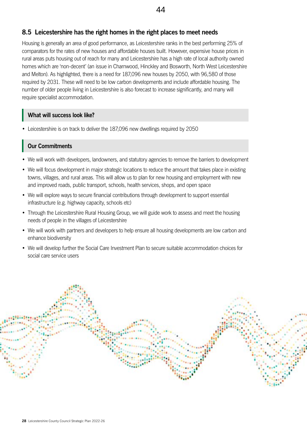## **8.5 Leicestershire has the right homes in the right places to meet needs**

Housing is generally an area of good performance, as Leicestershire ranks in the best performing 25% of comparators for the rates of new houses and affordable houses built. However, expensive house prices in rural areas puts housing out of reach for many and Leicestershire has a high rate of local authority owned homes which are 'non-decent' (an issue in Charnwood, Hinckley and Bosworth, North West Leicestershire and Melton). As highlighted, there is a need for 187,096 new houses by 2050, with 96,580 of those required by 2031. These will need to be low carbon developments and include affordable housing. The number of older people living in Leicestershire is also forecast to increase significantly, and many will require specialist accommodation.

#### **What will success look like?**

• Leicestershire is on track to deliver the 187,096 new dwellings required by 2050

#### **Our Commitments**

- We will work with developers, landowners, and statutory agencies to remove the barriers to development
- We will focus development in major strategic locations to reduce the amount that takes place in existing towns, villages, and rural areas. This will allow us to plan for new housing and employment with new and improved roads, public transport, schools, health services, shops, and open space
- We will explore ways to secure financial contributions through development to support essential infrastructure (e.g. highway capacity, schools etc)
- Through the Leicestershire Rural Housing Group, we will guide work to assess and meet the housing needs of people in the villages of Leicestershire
- We will work with partners and developers to help ensure all housing developments are low carbon and enhance biodiversity
- We will develop further the Social Care Investment Plan to secure suitable accommodation choices for social care service users

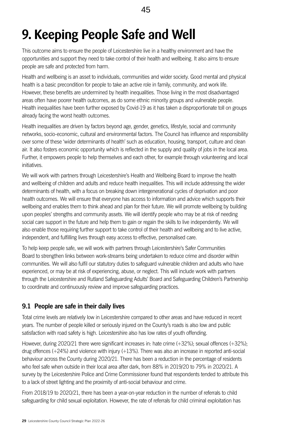## <span id="page-28-0"></span>**9. Keeping People Safe and Well**

This outcome aims to ensure the people of Leicestershire live in a healthy environment and have the opportunities and support they need to take control of their health and wellbeing. It also aims to ensure people are safe and protected from harm.

Health and wellbeing is an asset to individuals, communities and wider society. Good mental and physical health is a basic precondition for people to take an active role in family, community, and work life. However, these benefits are undermined by health inequalities. Those living in the most disadvantaged areas often have poorer health outcomes, as do some ethnic minority groups and vulnerable people. Health inequalities have been further exposed by Covid-19 as it has taken a disproportionate toll on groups already facing the worst health outcomes.

Health inequalities are driven by factors beyond age, gender, genetics, lifestyle, social and community networks, socio-economic, cultural and environmental factors. The Council has influence and responsibility over some of these 'wider determinants of health' such as education, housing, transport, culture and clean air. It also fosters economic opportunity which is reflected in the supply and quality of jobs in the local area. Further, it empowers people to help themselves and each other, for example through volunteering and local initiatives.

We will work with partners through Leicestershire's Health and Wellbeing Board to improve the health and wellbeing of children and adults and reduce health inequalities. This will include addressing the wider determinants of health, with a focus on breaking down intergenerational cycles of deprivation and poor health outcomes. We will ensure that everyone has access to information and advice which supports their wellbeing and enables them to think ahead and plan for their future. We will promote wellbeing by building upon peoples' strengths and community assets. We will identify people who may be at risk of needing social care support in the future and help them to gain or regain the skills to live independently. We will also enable those requiring further support to take control of their health and wellbeing and to live active, independent, and fulfilling lives through easy access to effective, personalised care.

To help keep people safe, we will work with partners through Leicestershire's Safer Communities Board to strengthen links between work-streams being undertaken to reduce crime and disorder within communities. We will also fulfil our statutory duties to safeguard vulnerable children and adults who have experienced, or may be at risk of experiencing, abuse, or neglect. This will include work with partners through the Leicestershire and Rutland Safeguarding Adults' Board and Safeguarding Children's Partnership to coordinate and continuously review and improve safeguarding practices.

## **9.1 People are safe in their daily lives**

Total crime levels are relatively low in Leicestershire compared to other areas and have reduced in recent years. The number of people killed or seriously injured on the County's roads is also low and public satisfaction with road safety is high. Leicestershire also has low rates of youth offending.

However, during 2020/21 there were significant increases in: hate crime (+32%); sexual offences (+32%); drug offences (+24%) and violence with injury (+13%). There was also an increase in reported anti-social behaviour across the County during 2020/21. There has been a reduction in the percentage of residents who feel safe when outside in their local area after dark, from 88% in 2019/20 to 79% in 2020/21. A survey by the Leicestershire Police and Crime Commissioner found that respondents tended to attribute this to a lack of street lighting and the proximity of anti-social behaviour and crime.

From 2018/19 to 2020/21, there has been a year-on-year reduction in the number of referrals to child safeguarding for child sexual exploitation. However, the rate of referrals for child criminal exploitation has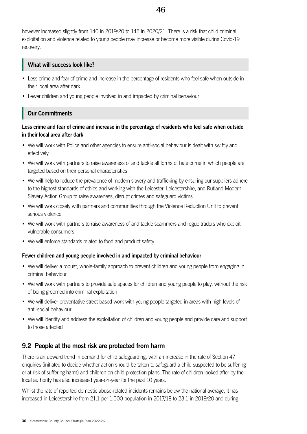however increased slightly from 140 in 2019/20 to 145 in 2020/21. There is a risk that child criminal exploitation and violence related to young people may increase or become more visible during Covid-19 recovery.

#### **What will success look like?**

- Less crime and fear of crime and increase in the percentage of residents who feel safe when outside in their local area after dark
- Fewer children and young people involved in and impacted by criminal behaviour

## **Our Commitments**

**Less crime and fear of crime and increase in the percentage of residents who feel safe when outside in their local area after dark**

- We will work with Police and other agencies to ensure anti-social behaviour is dealt with swiftly and effectively
- We will work with partners to raise awareness of and tackle all forms of hate crime in which people are targeted based on their personal characteristics
- We will help to reduce the prevalence of modern slavery and trafficking by ensuring our suppliers adhere to the highest standards of ethics and working with the Leicester, Leicestershire, and Rutland Modern Slavery Action Group to raise awareness, disrupt crimes and safeguard victims
- We will work closely with partners and communities through the Violence Reduction Unit to prevent serious violence
- We will work with partners to raise awareness of and tackle scammers and rogue traders who exploit vulnerable consumers
- We will enforce standards related to food and product safety

#### **Fewer children and young people involved in and impacted by criminal behaviour**

- We will deliver a robust, whole-family approach to prevent children and young people from engaging in criminal behaviour
- We will work with partners to provide safe spaces for children and young people to play, without the risk of being groomed into criminal exploitation
- We will deliver preventative street-based work with young people targeted in areas with high levels of anti-social behaviour
- We will identify and address the exploitation of children and young people and provide care and support to those affected

## **9.2 People at the most risk are protected from harm**

There is an upward trend in demand for child safeguarding, with an increase in the rate of Section 47 enquiries (initiated to decide whether action should be taken to safeguard a child suspected to be suffering or at risk of suffering harm) and children on child protection plans. The rate of children looked after by the local authority has also increased year-on-year for the past 10 years.

Whilst the rate of reported domestic abuse-related incidents remains below the national average, it has increased in Leicestershire from 21.1 per 1,000 population in 2017/18 to 23.1 in 2019/20 and during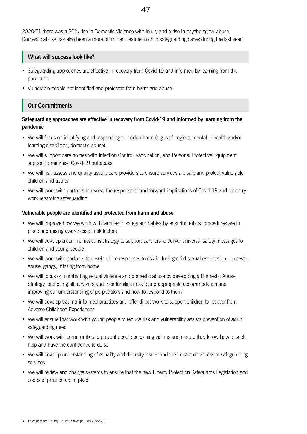2020/21 there was a 20% rise in Domestic Violence with Injury and a rise in psychological abuse. Domestic abuse has also been a more prominent feature in child safeguarding cases during the last year.

#### **What will success look like?**

- Safeguarding approaches are effective in recovery from Covid-19 and informed by learning from the pandemic
- Vulnerable people are identified and protected from harm and abuse

## **Our Commitments**

#### **Safeguarding approaches are effective in recovery from Covid-19 and informed by learning from the pandemic**

- We will focus on identifying and responding to hidden harm (e.g. self-neglect, mental ill-health and/or learning disabilities, domestic abuse)
- We will support care homes with Infection Control, vaccination, and Personal Protective Equipment support to minimise Covid-19 outbreaks
- We will risk assess and quality assure care providers to ensure services are safe and protect vulnerable children and adults
- We will work with partners to review the response to and forward implications of Covid-19 and recovery work regarding safeguarding

#### **Vulnerable people are identified and protected from harm and abuse**

- We will improve how we work with families to safeguard babies by ensuring robust procedures are in place and raising awareness of risk factors
- We will develop a communications strategy to support partners to deliver universal safety messages to children and young people
- We will work with partners to develop joint responses to risk including child sexual exploitation, domestic abuse, gangs, missing from home
- We will focus on combatting sexual violence and domestic abuse by developing a Domestic Abuse Strategy, protecting all survivors and their families in safe and appropriate accommodation and improving our understanding of perpetrators and how to respond to them
- We will develop trauma-informed practices and offer direct work to support children to recover from Adverse Childhood Experiences
- We will ensure that work with young people to reduce risk and vulnerability assists prevention of adult safeguarding need
- We will work with communities to prevent people becoming victims and ensure they know how to seek help and have the confidence to do so
- We will develop understanding of equality and diversity issues and the impact on access to safeguarding services
- We will review and change systems to ensure that the new Liberty Protection Safeguards Legislation and codes of practice are in place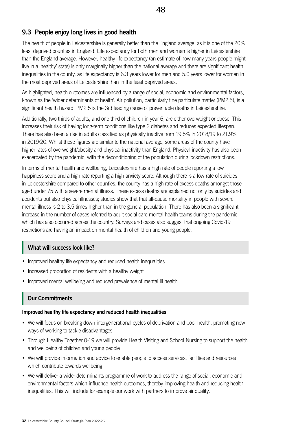## **9.3 People enjoy long lives in good health**

The health of people in Leicestershire is generally better than the England average, as it is one of the 20% least deprived counties in England. Life expectancy for both men and women is higher in Leicestershire than the England average. However, healthy life expectancy (an estimate of how many years people might live in a 'healthy' state) is only marginally higher than the national average and there are significant health inequalities in the county, as life expectancy is 6.3 years lower for men and 5.0 years lower for women in the most deprived areas of Leicestershire than in the least deprived areas.

As highlighted, health outcomes are influenced by a range of social, economic and environmental factors, known as the 'wider determinants of health'. Air pollution, particularly fine particulate matter (PM2.5), is a significant health hazard. PM2.5 is the 3rd leading cause of preventable deaths in Leicestershire.

Additionally, two thirds of adults, and one third of children in year 6, are either overweight or obese. This increases their risk of having long-term conditions like type 2 diabetes and reduces expected lifespan. There has also been a rise in adults classified as physically inactive from 19.5% in 2018/19 to 21.9% in 2019/20. Whilst these figures are similar to the national average, some areas of the county have higher rates of overweight/obesity and physical inactivity than England. Physical inactivity has also been exacerbated by the pandemic, with the deconditioning of the population during lockdown restrictions.

In terms of mental health and wellbeing, Leicestershire has a high rate of people reporting a low happiness score and a high rate reporting a high anxiety score. Although there is a low rate of suicides in Leicestershire compared to other counties, the county has a high rate of excess deaths amongst those aged under 75 with a severe mental illness. These excess deaths are explained not only by suicides and accidents but also physical illnesses; studies show that that all-cause mortality in people with severe mental illness is 2 to 3.5 times higher than in the general population. There has also been a significant increase in the number of cases referred to adult social care mental health teams during the pandemic, which has also occurred across the country. Surveys and cases also suggest that ongoing Covid-19 restrictions are having an impact on mental health of children and young people.

#### **What will success look like?**

- Improved healthy life expectancy and reduced health inequalities
- Increased proportion of residents with a healthy weight
- Improved mental wellbeing and reduced prevalence of mental ill health

## **Our Commitments**

#### **Improved healthy life expectancy and reduced health inequalities**

- We will focus on breaking down intergenerational cycles of deprivation and poor health, promoting new ways of working to tackle disadvantages
- Through Healthy Together 0-19 we will provide Health Visiting and School Nursing to support the health and wellbeing of children and young people
- We will provide information and advice to enable people to access services, facilities and resources which contribute towards wellbeing
- We will deliver a wider determinants programme of work to address the range of social, economic and environmental factors which influence health outcomes, thereby improving health and reducing health inequalities. This will include for example our work with partners to improve air quality.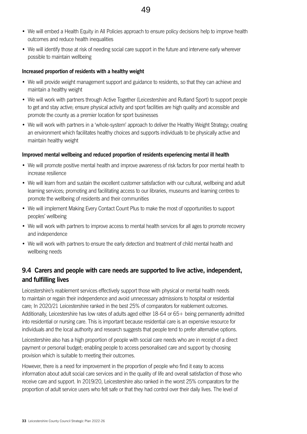- We will embed a Health Equity in All Policies approach to ensure policy decisions help to improve health outcomes and reduce health inequalities
- We will identify those at risk of needing social care support in the future and intervene early wherever possible to maintain wellbeing

#### **Increased proportion of residents with a healthy weight**

- We will provide weight management support and guidance to residents, so that they can achieve and maintain a healthy weight
- We will work with partners through Active Together (Leicestershire and Rutland Sport) to support people to get and stay active; ensure physical activity and sport facilities are high quality and accessible and promote the county as a premier location for sport businesses
- We will work with partners in a 'whole-system' approach to deliver the Healthy Weight Strategy; creating an environment which facilitates healthy choices and supports individuals to be physically active and maintain healthy weight

#### **Improved mental wellbeing and reduced proportion of residents experiencing mental ill health**

- We will promote positive mental health and improve awareness of risk factors for poor mental health to increase resilience
- We will learn from and sustain the excellent customer satisfaction with our cultural, wellbeing and adult learning services; promoting and facilitating access to our libraries, museums and learning centres to promote the wellbeing of residents and their communities
- We will implement Making Every Contact Count Plus to make the most of opportunities to support peoples' wellbeing
- We will work with partners to improve access to mental health services for all ages to promote recovery and independence
- We will work with partners to ensure the early detection and treatment of child mental health and wellbeing needs

## **9.4 Carers and people with care needs are supported to live active, independent, and fulfilling lives**

Leicestershire's reablement services effectively support those with physical or mental health needs to maintain or regain their independence and avoid unnecessary admissions to hospital or residential care; In 2020/21 Leicestershire ranked in the best 25% of comparators for reablement outcomes. Additionally, Leicestershire has low rates of adults aged either 18-64 or 65+ being permanently admitted into residential or nursing care. This is important because residential care is an expensive resource for individuals and the local authority and research suggests that people tend to prefer alternative options.

Leicestershire also has a high proportion of people with social care needs who are in receipt of a direct payment or personal budget; enabling people to access personalised care and support by choosing provision which is suitable to meeting their outcomes.

However, there is a need for improvement in the proportion of people who find it easy to access information about adult social care services and in the quality of life and overall satisfaction of those who receive care and support. In 2019/20, Leicestershire also ranked in the worst 25% comparators for the proportion of adult service users who felt safe or that they had control over their daily lives. The level of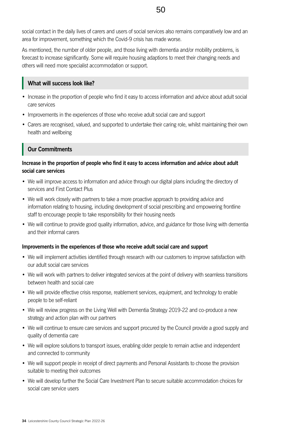social contact in the daily lives of carers and users of social services also remains comparatively low and an area for improvement, something which the Covid-9 crisis has made worse.

As mentioned, the number of older people, and those living with dementia and/or mobility problems, is forecast to increase significantly. Some will require housing adaptions to meet their changing needs and others will need more specialist accommodation or support.

#### **What will success look like?**

- Increase in the proportion of people who find it easy to access information and advice about adult social care services
- Improvements in the experiences of those who receive adult social care and support
- Carers are recognised, valued, and supported to undertake their caring role, whilst maintaining their own health and wellbeing

## **Our Commitments**

#### **Increase in the proportion of people who find it easy to access information and advice about adult social care services**

- We will improve access to information and advice through our digital plans including the directory of services and First Contact Plus
- We will work closely with partners to take a more proactive approach to providing advice and information relating to housing, including development of social prescribing and empowering frontline staff to encourage people to take responsibility for their housing needs
- We will continue to provide good quality information, advice, and guidance for those living with dementia and their informal carers

#### **Improvements in the experiences of those who receive adult social care and support**

- We will implement activities identified through research with our customers to improve satisfaction with our adult social care services
- We will work with partners to deliver integrated services at the point of delivery with seamless transitions between health and social care
- We will provide effective crisis response, reablement services, equipment, and technology to enable people to be self-reliant
- We will review progress on the Living Well with Dementia Strategy 2019-22 and co-produce a new strategy and action plan with our partners
- We will continue to ensure care services and support procured by the Council provide a good supply and quality of dementia care
- We will explore solutions to transport issues, enabling older people to remain active and independent and connected to community
- We will support people in receipt of direct payments and Personal Assistants to choose the provision suitable to meeting their outcomes
- We will develop further the Social Care Investment Plan to secure suitable accommodation choices for social care service users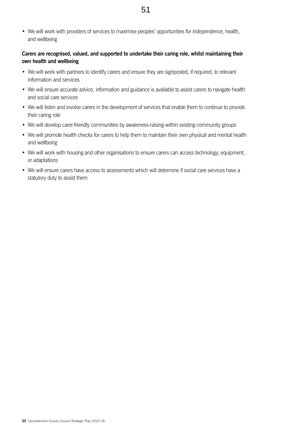• We will work with providers of services to maximise peoples' opportunities for independence, health, and wellbeing

#### **Carers are recognised, valued, and supported to undertake their caring role, whilst maintaining their own health and wellbeing**

- We will work with partners to identify carers and ensure they are signposted, if required, to relevant information and services
- We will ensure accurate advice, information and guidance is available to assist carers to navigate health and social care services
- We will listen and involve carers in the development of services that enable them to continue to provide their caring role
- We will develop carer-friendly communities by awareness-raising within existing community groups
- We will promote health checks for carers to help them to maintain their own physical and mental health and wellbeing
- We will work with housing and other organisations to ensure carers can access technology, equipment, or adaptations
- We will ensure carers have access to assessments which will determine if social care services have a statutory duty to assist them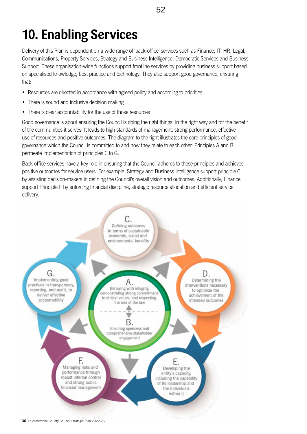# <span id="page-35-0"></span>**10. Enabling Services**

Delivery of this Plan is dependent on a wide range of 'back-office' services such as Finance, IT, HR, Legal, Communications, Property Services, Strategy and Business Intelligence, Democratic Services and Business Support. These organisation-wide functions support frontline services by providing business support based on specialised knowledge, best practice and technology. They also support good governance, ensuring that:

- Resources are directed in accordance with agreed policy and according to priorities
- There is sound and inclusive decision making
- There is clear accountability for the use of those resources

Good governance is about ensuring the Council is doing the right things, in the right way and for the benefit of the communities it serves. It leads to high standards of management, strong performance, effective use of resources and positive outcomes. The diagram to the right illustrates the core principles of good governance which the Council is committed to and how they relate to each other: Principles A and B permeate implementation of principles C to G.

Back-office services have a key role in ensuring that the Council adheres to these principles and achieves positive outcomes for service users. For example, Strategy and Business Intelligence support principle C by assisting decision-makers in defining the Council's overall vision and outcomes. Additionally, Finance support Principle F by enforcing financial discipline, strategic resource allocation and efficient service delivery.

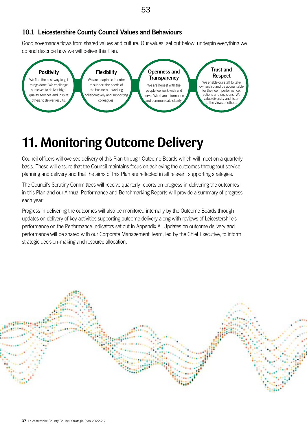## <span id="page-36-0"></span>**10.1 Leicestershire County Council Values and Behaviours**

Good governance flows from shared values and culture. Our values, set out below, underpin everything we do and describe how we will deliver this Plan.



## **11. Monitoring Outcome Delivery**

Council officers will oversee delivery of this Plan through Outcome Boards which will meet on a quarterly basis. These will ensure that the Council maintains focus on achieving the outcomes throughout service planning and delivery and that the aims of this Plan are reflected in all relevant supporting strategies.

The Council's Scrutiny Committees will receive quarterly reports on progress in delivering the outcomes in this Plan and our Annual Performance and Benchmarking Reports will provide a summary of progress each year.

Progress in delivering the outcomes will also be monitored internally by the Outcome Boards through updates on delivery of key activities supporting outcome delivery along with reviews of Leicestershire's performance on the Performance Indicators set out in Appendix A. Updates on outcome delivery and performance will be shared with our Corporate Management Team, led by the Chief Executive, to inform strategic decision-making and resource allocation.

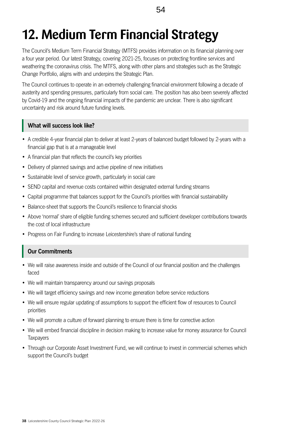# <span id="page-37-0"></span>**12. Medium Term Financial Strategy**

The Council's Medium Term Financial Strategy (MTFS) provides information on its financial planning over a four year period. Our latest Strategy, covering 2021-25, focuses on protecting frontline services and weathering the coronavirus crisis. The MTFS, along with other plans and strategies such as the Strategic Change Portfolio, aligns with and underpins the Strategic Plan.

The Council continues to operate in an extremely challenging financial environment following a decade of austerity and spending pressures, particularly from social care. The position has also been severely affected by Covid-19 and the ongoing financial impacts of the pandemic are unclear. There is also significant uncertainty and risk around future funding levels.

## **What will success look like?**

- A credible 4-year financial plan to deliver at least 2-years of balanced budget followed by 2-years with a financial gap that is at a manageable level
- A financial plan that reflects the council's key priorities
- Delivery of planned savings and active pipeline of new initiatives
- Sustainable level of service growth, particularly in social care
- SEND capital and revenue costs contained within designated external funding streams
- Capital programme that balances support for the Council's priorities with financial sustainability
- Balance-sheet that supports the Council's resilience to financial shocks
- Above 'normal' share of eligible funding schemes secured and sufficient developer contributions towards the cost of local infrastructure
- Progress on Fair Funding to increase Leicestershire's share of national funding

## **Our Commitments**

- We will raise awareness inside and outside of the Council of our financial position and the challenges faced
- We will maintain transparency around our savings proposals
- We will target efficiency savings and new income generation before service reductions
- We will ensure regular updating of assumptions to support the efficient flow of resources to Council priorities
- We will promote a culture of forward planning to ensure there is time for corrective action
- We will embed financial discipline in decision making to increase value for money assurance for Council **Taxpayers**
- Through our Corporate Asset Investment Fund, we will continue to invest in commercial schemes which support the Council's budget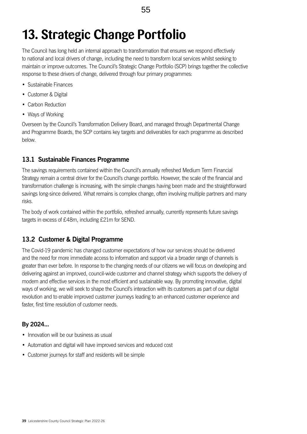## <span id="page-38-0"></span>**13. Strategic Change Portfolio**

The Council has long held an internal approach to transformation that ensures we respond effectively to national and local drivers of change, including the need to transform local services whilst seeking to maintain or improve outcomes. The Council's Strategic Change Portfolio (SCP) brings together the collective response to these drivers of change, delivered through four primary programmes:

- Sustainable Finances
- Customer & Digital
- Carbon Reduction
- Ways of Working

Overseen by the Council's Transformation Delivery Board, and managed through Departmental Change and Programme Boards, the SCP contains key targets and deliverables for each programme as described below.

## **13.1 Sustainable Finances Programme**

The savings requirements contained within the Council's annually refreshed Medium Term Financial Strategy remain a central driver for the Council's change portfolio. However, the scale of the financial and transformation challenge is increasing, with the simple changes having been made and the straightforward savings long-since delivered. What remains is complex change, often involving multiple partners and many risks.

The body of work contained within the portfolio, refreshed annually, currently represents future savings targets in excess of £48m, including £21m for SEND.

## **13.2 Customer & Digital Programme**

The Covid-19 pandemic has changed customer expectations of how our services should be delivered and the need for more immediate access to information and support via a broader range of channels is greater than ever before. In response to the changing needs of our citizens we will focus on developing and delivering against an improved, council-wide customer and channel strategy which supports the delivery of modern and effective services in the most efficient and sustainable way. By promoting innovative, digital ways of working, we will seek to shape the Council's interaction with its customers as part of our digital revolution and to enable improved customer journeys leading to an enhanced customer experience and faster, first time resolution of customer needs.

## **By 2024...**

- Innovation will be our business as usual
- Automation and digital will have improved services and reduced cost
- Customer journeys for staff and residents will be simple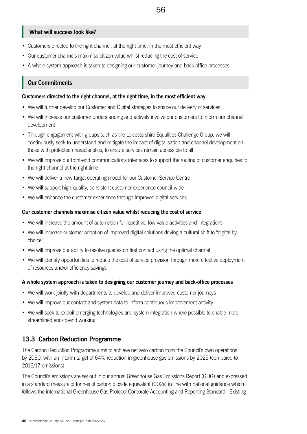#### **What will success look like?**

- Customers directed to the right channel, at the right time, in the most efficient way
- Our customer channels maximise citizen value whilst reducing the cost of service
- A whole system approach is taken to designing our customer journey and back office processes

#### **Our Commitments**

#### **Customers directed to the right channel, at the right time, in the most efficient way**

- We will further develop our Customer and Digital strategies to shape our delivery of services
- We will increase our customer understanding and actively involve our customers to inform our channel development
- Through engagement with groups such as the Leicestershire Equalities Challenge Group, we will continuously seek to understand and mitigate the impact of digitalisation and channel development on those with protected characteristics, to ensure services remain accessible to all
- We will improve our front-end communications interfaces to support the routing of customer enquiries to the right channel at the right time
- We will deliver a new target operating model for our Customer Service Centre
- We will support high-quality, consistent customer experience council-wide
- We will enhance the customer experience through improved digital services

#### **Our customer channels maximise citizen value whilst reducing the cost of service**

- We will increase the amount of automation for repetitive, low value activities and integrations
- We will increase customer adoption of improved digital solutions driving a cultural shift to "digital by choice"
- We will improve our ability to resolve queries on first contact using the optimal channel
- We will identify opportunities to reduce the cost of service provision through more effective deployment of resources and/or efficiency savings

#### **A whole system approach is taken to designing our customer journey and back-office processes**

- We will work jointly with departments to develop and deliver improved customer journeys
- We will improve our contact and system data to inform continuous improvement activity
- We will seek to exploit emerging technologies and system integration where possible to enable more streamlined end-to-end working

#### **13.3 Carbon Reduction Programme**

The Carbon Reduction Programme aims to achieve net zero carbon from the Council's own operations by 2030, with an interim target of 64% reduction in greenhouse gas emissions by 2025 (compared to 2016/17 emissions)

The Council's emissions are set out in our annual Greenhouse Gas Emissions Report (GHG) and expressed in a standard measure of tonnes of carbon dioxide equivalent (CO2e) in line with national guidance which follows the international Greenhouse Gas Protocol Corporate Accounting and Reporting Standard. Existing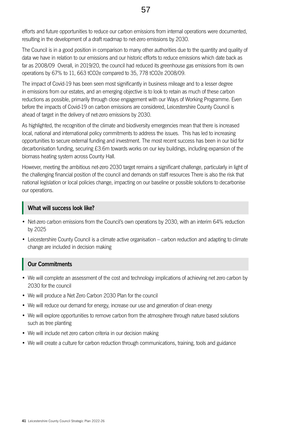efforts and future opportunities to reduce our carbon emissions from internal operations were documented, resulting in the development of a draft roadmap to net-zero emissions by 2030.

The Council is in a good position in comparison to many other authorities due to the quantity and quality of data we have in relation to our emissions and our historic efforts to reduce emissions which date back as far as 2008/09 Overall, in 2019/20, the council had reduced its greenhouse gas emissions from its own operations by 67% to 11, 663 tCO2e compared to 35, 778 tCO2e 2008/09.

The impact of Covid-19 has been seen most significantly in business mileage and to a lesser degree in emissions from our estates, and an emerging objective is to look to retain as much of these carbon reductions as possible, primarily through close engagement with our Ways of Working Programme. Even before the impacts of Covid-19 on carbon emissions are considered, Leicestershire County Council is ahead of target in the delivery of net-zero emissions by 2030.

As highlighted, the recognition of the climate and biodiversity emergencies mean that there is increased local, national and international policy commitments to address the issues. This has led to increasing opportunities to secure external funding and investment. The most recent success has been in our bid for decarbonisation funding, securing £3.6m towards works on our key buildings, including expansion of the biomass heating system across County Hall.

However, meeting the ambitious net-zero 2030 target remains a significant challenge, particularly in light of the challenging financial position of the council and demands on staff resources There is also the risk that national legislation or local policies change, impacting on our baseline or possible solutions to decarbonise our operations.

## **What will success look like?**

- Net-zero carbon emissions from the Council's own operations by 2030, with an interim 64% reduction by 2025
- Leicestershire County Council is a climate active organisation carbon reduction and adapting to climate change are included in decision making

## **Our Commitments**

- We will complete an assessment of the cost and technology implications of achieving net zero carbon by 2030 for the council
- We will produce a Net Zero Carbon 2030 Plan for the council
- We will reduce our demand for energy, increase our use and generation of clean energy
- We will explore opportunities to remove carbon from the atmosphere through nature based solutions such as tree planting
- We will include net zero carbon criteria in our decision making
- We will create a culture for carbon reduction through communications, training, tools and guidance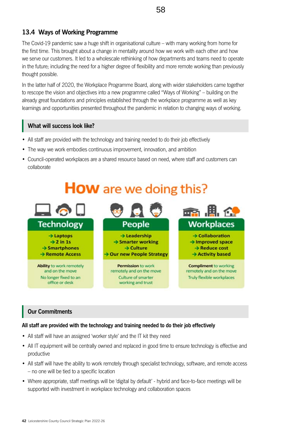## **13.4 Ways of Working Programme**

The Covid-19 pandemic saw a huge shift in organisational culture – with many working from home for the first time. This brought about a change in mentality around how we work with each other and how we serve our customers. It led to a wholescale rethinking of how departments and teams need to operate in the future; including the need for a higher degree of flexibility and more remote working than previously thought possible.

In the latter half of 2020, the Workplace Programme Board, along with wider stakeholders came together to rescope the vision and objectives into a new programme called "Ways of Working" – building on the already great foundations and principles established through the workplace programme as well as key learnings and opportunities presented throughout the pandemic in relation to changing ways of working.

## **What will success look like?**

- All staff are provided with the technology and training needed to do their job effectively
- The way we work embodies continuous improvement, innovation, and ambition
- Council-operated workplaces are a shared resource based on need, where staff and customers can collaborate

## **How** are we doing this?



## **Our Commitments**

#### **All staff are provided with the technology and training needed to do their job effectively**

- All staff will have an assigned 'worker style' and the IT kit they need
- All IT equipment will be centrally owned and replaced in good time to ensure technology is effective and productive
- All staff will have the ability to work remotely through specialist technology, software, and remote access – no one will be tied to a specific location
- Where appropriate, staff meetings will be 'digital by default' hybrid and face-to-face meetings will be supported with investment in workplace technology and collaboration spaces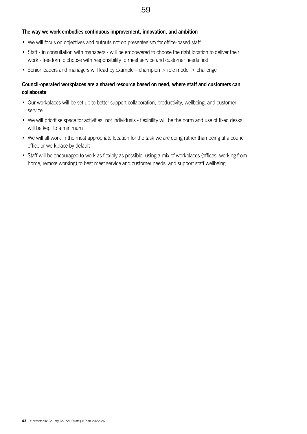#### **The way we work embodies continuous improvement, innovation, and ambition**

- We will focus on objectives and outputs not on presenteeism for office-based staff
- Staff in consultation with managers will be empowered to choose the right location to deliver their work - freedom to choose with responsibility to meet service and customer needs first
- Senior leaders and managers will lead by example champion  $>$  role model  $>$  challenge

#### **Council-operated workplaces are a shared resource based on need, where staff and customers can collaborate**

- Our workplaces will be set up to better support collaboration, productivity, wellbeing, and customer service
- We will prioritise space for activities, not individuals flexibility will be the norm and use of fixed desks will be kept to a minimum
- We will all work in the most appropriate location for the task we are doing rather than being at a council office or workplace by default
- Staff will be encouraged to work as flexibly as possible, using a mix of workplaces (offices, working from home, remote working) to best meet service and customer needs, and support staff wellbeing.